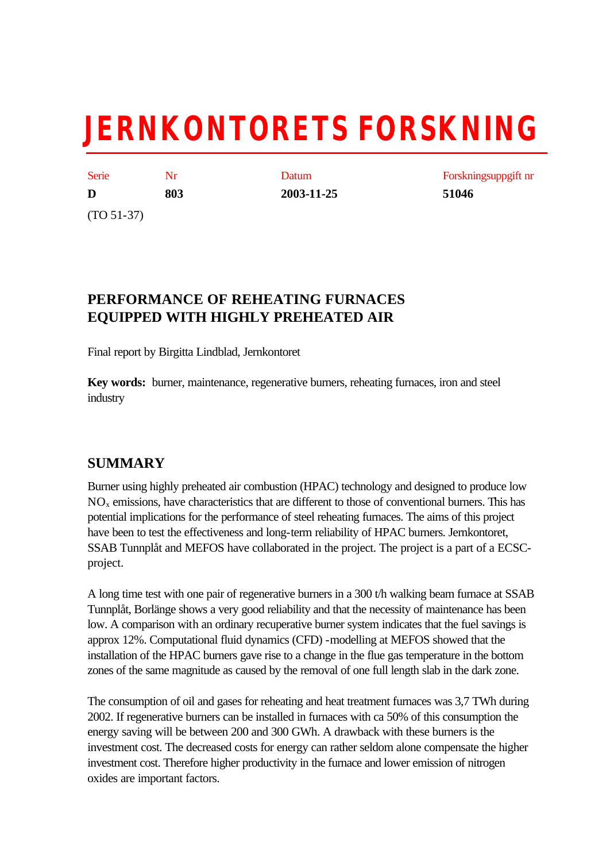# **JERNKONTORETS FORSKNING**

| Serie        | Nr  |
|--------------|-----|
| D            | 803 |
| $(TO 51-37)$ |     |

**D 803 2003-11-25 51046**

Datum Forskningsuppgift nr

# **PERFORMANCE OF REHEATING FURNACES EQUIPPED WITH HIGHLY PREHEATED AIR**

Final report by Birgitta Lindblad, Jernkontoret

**Key words:** burner, maintenance, regenerative burners, reheating furnaces, iron and steel industry

# **SUMMARY**

Burner using highly preheated air combustion (HPAC) technology and designed to produce low NOx emissions, have characteristics that are different to those of conventional burners. This has potential implications for the performance of steel reheating furnaces. The aims of this project have been to test the effectiveness and long-term reliability of HPAC burners. Jernkontoret, SSAB Tunnplåt and MEFOS have collaborated in the project. The project is a part of a ECSCproject.

A long time test with one pair of regenerative burners in a 300 t/h walking beam furnace at SSAB Tunnplåt, Borlänge shows a very good reliability and that the necessity of maintenance has been low. A comparison with an ordinary recuperative burner system indicates that the fuel savings is approx 12%. Computational fluid dynamics (CFD) -modelling at MEFOS showed that the installation of the HPAC burners gave rise to a change in the flue gas temperature in the bottom zones of the same magnitude as caused by the removal of one full length slab in the dark zone.

The consumption of oil and gases for reheating and heat treatment furnaces was 3,7 TWh during 2002. If regenerative burners can be installed in furnaces with ca 50% of this consumption the energy saving will be between 200 and 300 GWh. A drawback with these burners is the investment cost. The decreased costs for energy can rather seldom alone compensate the higher investment cost. Therefore higher productivity in the furnace and lower emission of nitrogen oxides are important factors.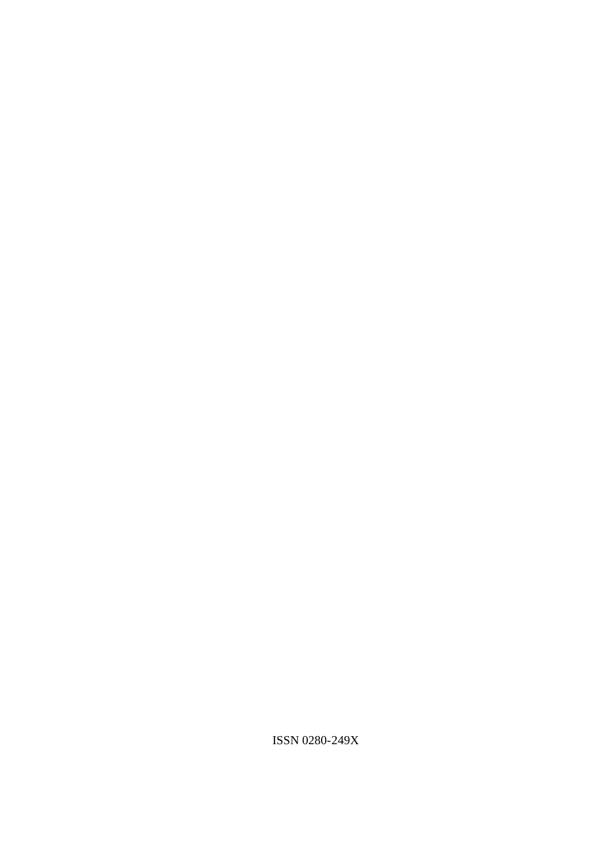ISSN 0280-249X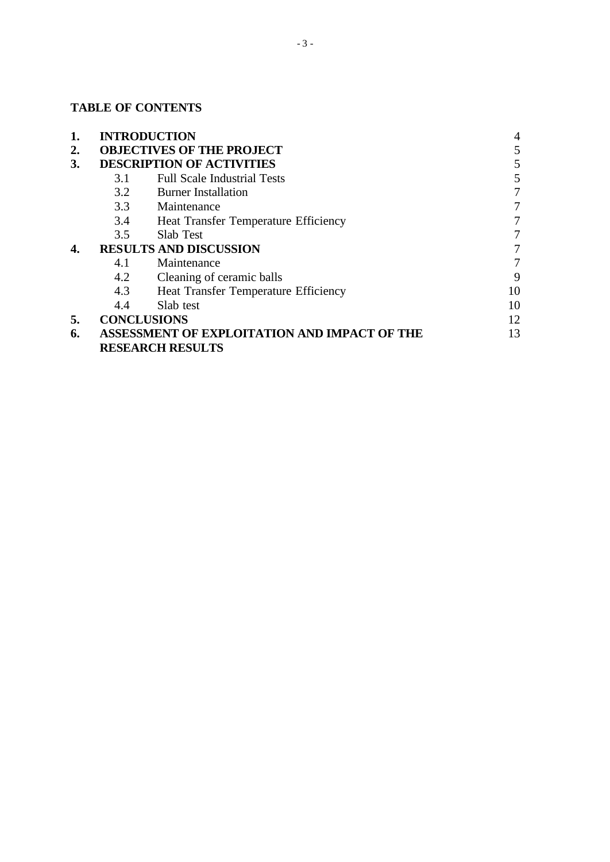# **TABLE OF CONTENTS**

| 1. |     | <b>INTRODUCTION</b>                          | 4  |
|----|-----|----------------------------------------------|----|
| 2. |     | <b>OBJECTIVES OF THE PROJECT</b>             | 5  |
| 3. |     | <b>DESCRIPTION OF ACTIVITIES</b>             | 5  |
|    | 3.1 | <b>Full Scale Industrial Tests</b>           | 5  |
|    | 3.2 | <b>Burner Installation</b>                   | 7  |
|    | 3.3 | Maintenance                                  |    |
|    | 3.4 | Heat Transfer Temperature Efficiency         | 7  |
|    | 3.5 | <b>Slab Test</b>                             | 7  |
| 4. |     | <b>RESULTS AND DISCUSSION</b>                |    |
|    | 4.1 | Maintenance                                  | 7  |
|    | 4.2 | Cleaning of ceramic balls                    | 9  |
|    | 4.3 | Heat Transfer Temperature Efficiency         | 10 |
|    | 4.4 | Slab test                                    | 10 |
| 5. |     | <b>CONCLUSIONS</b>                           | 12 |
| 6. |     | ASSESSMENT OF EXPLOITATION AND IMPACT OF THE | 13 |
|    |     | <b>RESEARCH RESULTS</b>                      |    |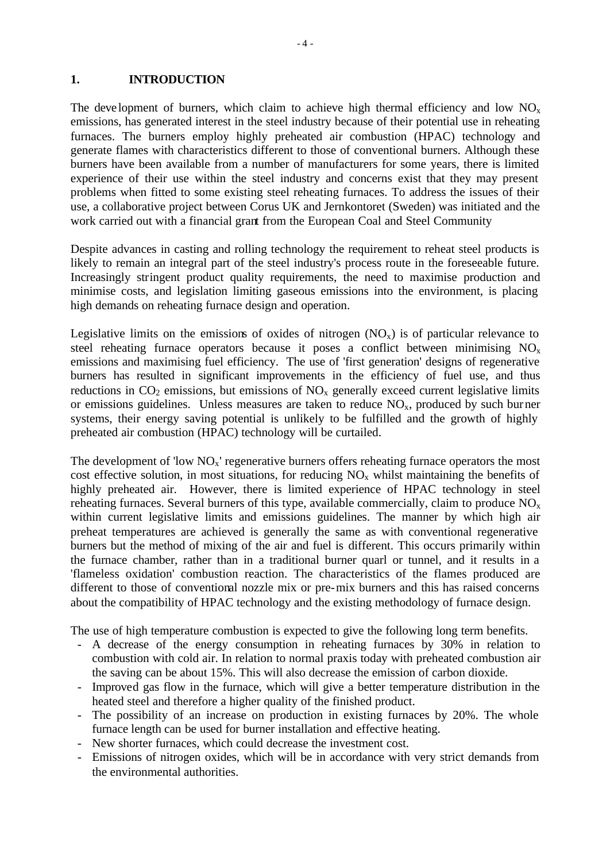#### **1. INTRODUCTION**

The development of burners, which claim to achieve high thermal efficiency and low  $NO<sub>x</sub>$ emissions, has generated interest in the steel industry because of their potential use in reheating furnaces. The burners employ highly preheated air combustion (HPAC) technology and generate flames with characteristics different to those of conventional burners. Although these burners have been available from a number of manufacturers for some years, there is limited experience of their use within the steel industry and concerns exist that they may present problems when fitted to some existing steel reheating furnaces. To address the issues of their use, a collaborative project between Corus UK and Jernkontoret (Sweden) was initiated and the work carried out with a financial grant from the European Coal and Steel Community

Despite advances in casting and rolling technology the requirement to reheat steel products is likely to remain an integral part of the steel industry's process route in the foreseeable future. Increasingly stringent product quality requirements, the need to maximise production and minimise costs, and legislation limiting gaseous emissions into the environment, is placing high demands on reheating furnace design and operation.

Legislative limits on the emissions of oxides of nitrogen  $(NO_x)$  is of particular relevance to steel reheating furnace operators because it poses a conflict between minimising  $NO_x$ emissions and maximising fuel efficiency. The use of 'first generation' designs of regenerative burners has resulted in significant improvements in the efficiency of fuel use, and thus reductions in  $CO_2$  emissions, but emissions of  $NO_x$  generally exceed current legislative limits or emissions guidelines. Unless measures are taken to reduce  $NO<sub>x</sub>$ , produced by such burner systems, their energy saving potential is unlikely to be fulfilled and the growth of highly preheated air combustion (HPAC) technology will be curtailed.

The development of 'low  $NO<sub>x</sub>$ ' regenerative burners offers reheating furnace operators the most cost effective solution, in most situations, for reducing  $NO<sub>x</sub>$  whilst maintaining the benefits of highly preheated air. However, there is limited experience of HPAC technology in steel reheating furnaces. Several burners of this type, available commercially, claim to produce  $NO<sub>x</sub>$ within current legislative limits and emissions guidelines. The manner by which high air preheat temperatures are achieved is generally the same as with conventional regenerative burners but the method of mixing of the air and fuel is different. This occurs primarily within the furnace chamber, rather than in a traditional burner quarl or tunnel, and it results in a 'flameless oxidation' combustion reaction. The characteristics of the flames produced are different to those of conventional nozzle mix or pre-mix burners and this has raised concerns about the compatibility of HPAC technology and the existing methodology of furnace design.

The use of high temperature combustion is expected to give the following long term benefits.

- A decrease of the energy consumption in reheating furnaces by 30% in relation to combustion with cold air. In relation to normal praxis today with preheated combustion air the saving can be about 15%. This will also decrease the emission of carbon dioxide.
- Improved gas flow in the furnace, which will give a better temperature distribution in the heated steel and therefore a higher quality of the finished product.
- The possibility of an increase on production in existing furnaces by 20%. The whole furnace length can be used for burner installation and effective heating.
- New shorter furnaces, which could decrease the investment cost.
- Emissions of nitrogen oxides, which will be in accordance with very strict demands from the environmental authorities.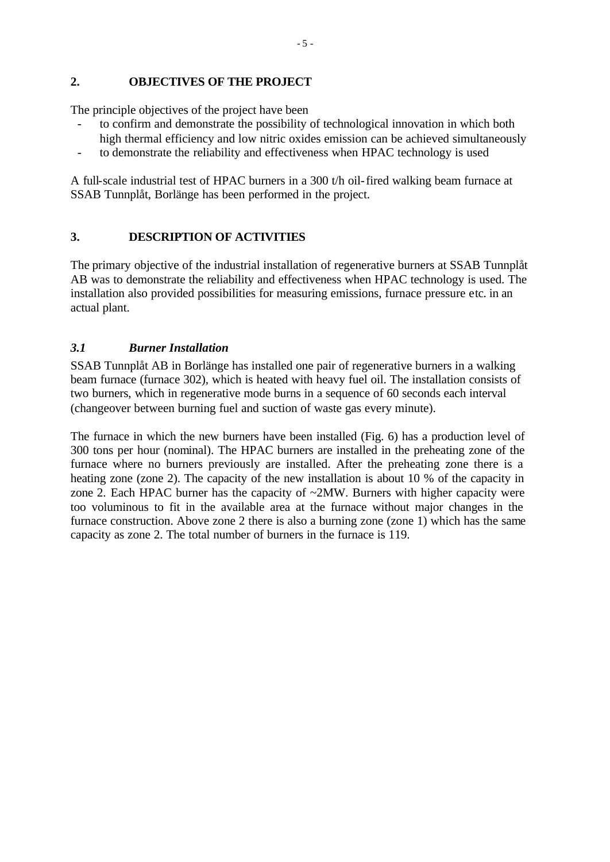#### **2. OBJECTIVES OF THE PROJECT**

The principle objectives of the project have been

- to confirm and demonstrate the possibility of technological innovation in which both high thermal efficiency and low nitric oxides emission can be achieved simultaneously
- to demonstrate the reliability and effectiveness when HPAC technology is used

A full-scale industrial test of HPAC burners in a 300 t/h oil-fired walking beam furnace at SSAB Tunnplåt, Borlänge has been performed in the project.

# **3. DESCRIPTION OF ACTIVITIES**

The primary objective of the industrial installation of regenerative burners at SSAB Tunnplåt AB was to demonstrate the reliability and effectiveness when HPAC technology is used. The installation also provided possibilities for measuring emissions, furnace pressure etc. in an actual plant.

# *3.1 Burner Installation*

SSAB Tunnplåt AB in Borlänge has installed one pair of regenerative burners in a walking beam furnace (furnace 302), which is heated with heavy fuel oil. The installation consists of two burners, which in regenerative mode burns in a sequence of 60 seconds each interval (changeover between burning fuel and suction of waste gas every minute).

The furnace in which the new burners have been installed (Fig. 6) has a production level of 300 tons per hour (nominal). The HPAC burners are installed in the preheating zone of the furnace where no burners previously are installed. After the preheating zone there is a heating zone (zone 2). The capacity of the new installation is about 10 % of the capacity in zone 2. Each HPAC burner has the capacity of ~2MW. Burners with higher capacity were too voluminous to fit in the available area at the furnace without major changes in the furnace construction. Above zone 2 there is also a burning zone (zone 1) which has the same capacity as zone 2. The total number of burners in the furnace is 119.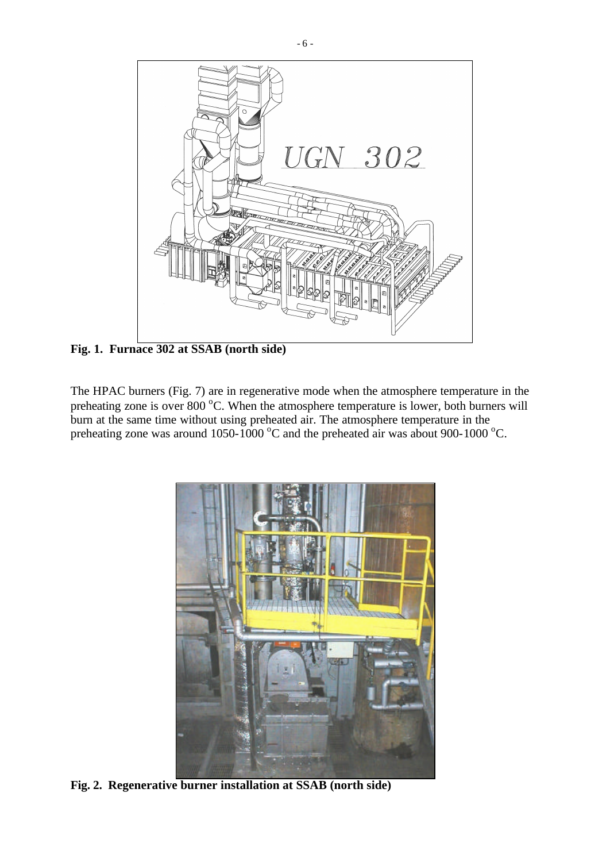

**Fig. 1. Furnace 302 at SSAB (north side)**

The HPAC burners (Fig. 7) are in regenerative mode when the atmosphere temperature in the preheating zone is over 800 °C. When the atmosphere temperature is lower, both burners will burn at the same time without using preheated air. The atmosphere temperature in the preheating zone was around 1050-1000  $^{\circ}$ C and the preheated air was about 900-1000  $^{\circ}$ C.



**Fig. 2. Regenerative burner installation at SSAB (north side)**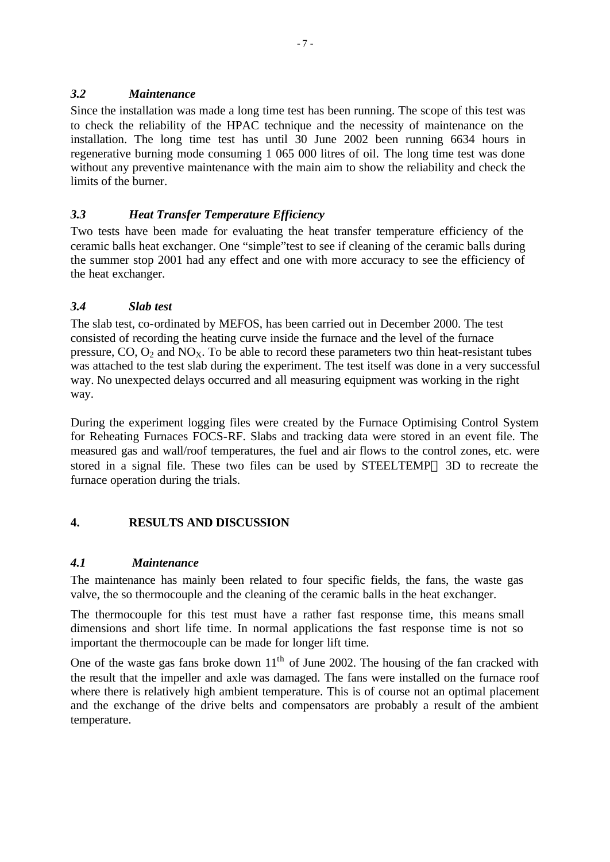#### *3.2 Maintenance*

Since the installation was made a long time test has been running. The scope of this test was to check the reliability of the HPAC technique and the necessity of maintenance on the installation. The long time test has until 30 June 2002 been running 6634 hours in regenerative burning mode consuming 1 065 000 litres of oil. The long time test was done without any preventive maintenance with the main aim to show the reliability and check the limits of the burner.

# *3.3 Heat Transfer Temperature Efficiency*

Two tests have been made for evaluating the heat transfer temperature efficiency of the ceramic balls heat exchanger. One "simple"test to see if cleaning of the ceramic balls during the summer stop 2001 had any effect and one with more accuracy to see the efficiency of the heat exchanger.

# *3.4 Slab test*

The slab test, co-ordinated by MEFOS, has been carried out in December 2000. The test consisted of recording the heating curve inside the furnace and the level of the furnace pressure,  $CO$ ,  $O_2$  and  $NO<sub>X</sub>$ . To be able to record these parameters two thin heat-resistant tubes was attached to the test slab during the experiment. The test itself was done in a very successful way. No unexpected delays occurred and all measuring equipment was working in the right way.

During the experiment logging files were created by the Furnace Optimising Control System for Reheating Furnaces FOCS-RF. Slabs and tracking data were stored in an event file. The measured gas and wall/roof temperatures, the fuel and air flows to the control zones, etc. were stored in a signal file. These two files can be used by STEELTEMP<sup>®</sup> 3D to recreate the furnace operation during the trials.

# **4. RESULTS AND DISCUSSION**

# *4.1 Maintenance*

The maintenance has mainly been related to four specific fields, the fans, the waste gas valve, the so thermocouple and the cleaning of the ceramic balls in the heat exchanger.

The thermocouple for this test must have a rather fast response time, this means small dimensions and short life time. In normal applications the fast response time is not so important the thermocouple can be made for longer lift time.

One of the waste gas fans broke down  $11<sup>th</sup>$  of June 2002. The housing of the fan cracked with the result that the impeller and axle was damaged. The fans were installed on the furnace roof where there is relatively high ambient temperature. This is of course not an optimal placement and the exchange of the drive belts and compensators are probably a result of the ambient temperature.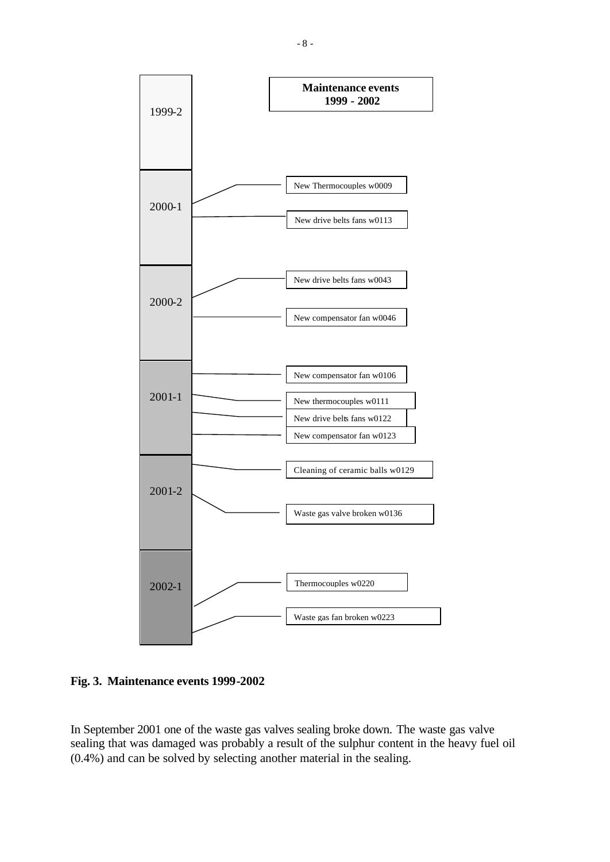

**Fig. 3. Maintenance events 1999-2002**

In September 2001 one of the waste gas valves sealing broke down. The waste gas valve sealing that was damaged was probably a result of the sulphur content in the heavy fuel oil (0.4%) and can be solved by selecting another material in the sealing.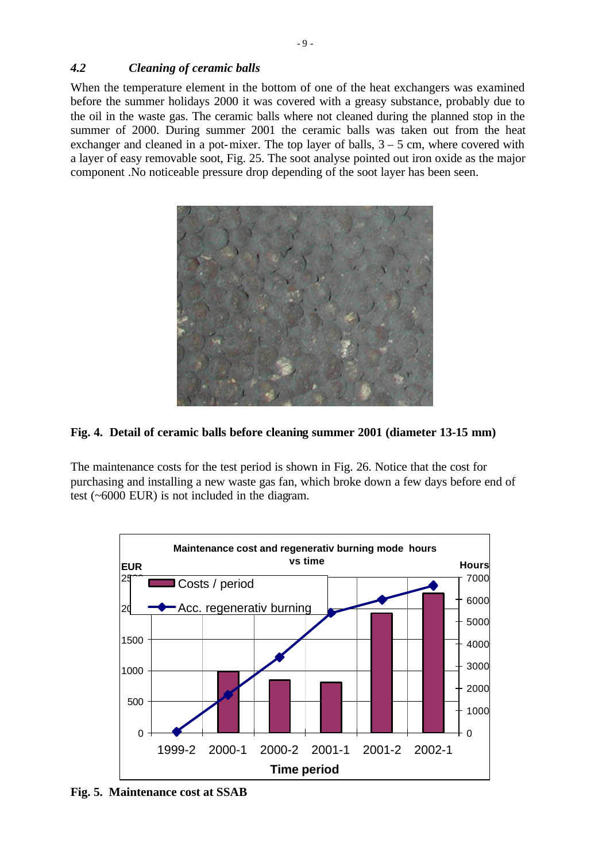#### *4.2 Cleaning of ceramic balls*

When the temperature element in the bottom of one of the heat exchangers was examined before the summer holidays 2000 it was covered with a greasy substance, probably due to the oil in the waste gas. The ceramic balls where not cleaned during the planned stop in the summer of 2000. During summer 2001 the ceramic balls was taken out from the heat exchanger and cleaned in a pot-mixer. The top layer of balls,  $3 - 5$  cm, where covered with a layer of easy removable soot, Fig. 25. The soot analyse pointed out iron oxide as the major component .No noticeable pressure drop depending of the soot layer has been seen.



#### **Fig. 4. Detail of ceramic balls before cleaning summer 2001 (diameter 13-15 mm)**

The maintenance costs for the test period is shown in Fig. 26. Notice that the cost for purchasing and installing a new waste gas fan, which broke down a few days before end of test (~6000 EUR) is not included in the diagram.



**Fig. 5. Maintenance cost at SSAB**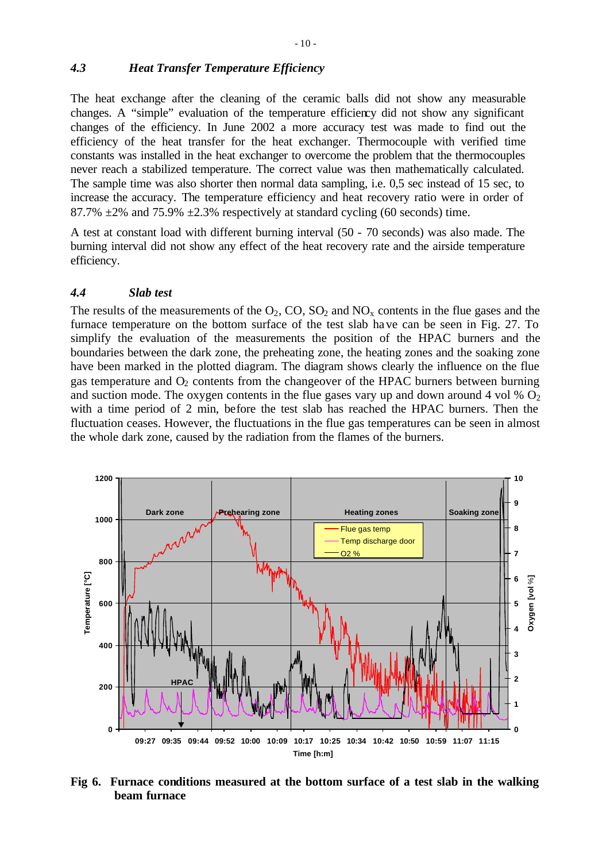### *4.3 Heat Transfer Temperature Efficiency*

The heat exchange after the cleaning of the ceramic balls did not show any measurable changes. A "simple" evaluation of the temperature efficiency did not show any significant changes of the efficiency. In June 2002 a more accuracy test was made to find out the efficiency of the heat transfer for the heat exchanger. Thermocouple with verified time constants was installed in the heat exchanger to overcome the problem that the thermocouples never reach a stabilized temperature. The correct value was then mathematically calculated. The sample time was also shorter then normal data sampling, i.e. 0,5 sec instead of 15 sec, to increase the accuracy. The temperature efficiency and heat recovery ratio were in order of 87.7%  $\pm$ 2% and 75.9%  $\pm$ 2.3% respectively at standard cycling (60 seconds) time.

A test at constant load with different burning interval (50 - 70 seconds) was also made. The burning interval did not show any effect of the heat recovery rate and the airside temperature efficiency.

#### *4.4 Slab test*

The results of the measurements of the  $O_2$ ,  $CO$ ,  $SO_2$  and  $NO_x$  contents in the flue gases and the furnace temperature on the bottom surface of the test slab have can be seen in Fig. 27. To simplify the evaluation of the measurements the position of the HPAC burners and the boundaries between the dark zone, the preheating zone, the heating zones and the soaking zone have been marked in the plotted diagram. The diagram shows clearly the influence on the flue gas temperature and  $O<sub>2</sub>$  contents from the changeover of the HPAC burners between burning and suction mode. The oxygen contents in the flue gases vary up and down around 4 vol  $\%$  O<sub>2</sub> with a time period of 2 min, before the test slab has reached the HPAC burners. Then the fluctuation ceases. However, the fluctuations in the flue gas temperatures can be seen in almost the whole dark zone, caused by the radiation from the flames of the burners.



**Fig 6. Furnace conditions measured at the bottom surface of a test slab in the walking beam furnace**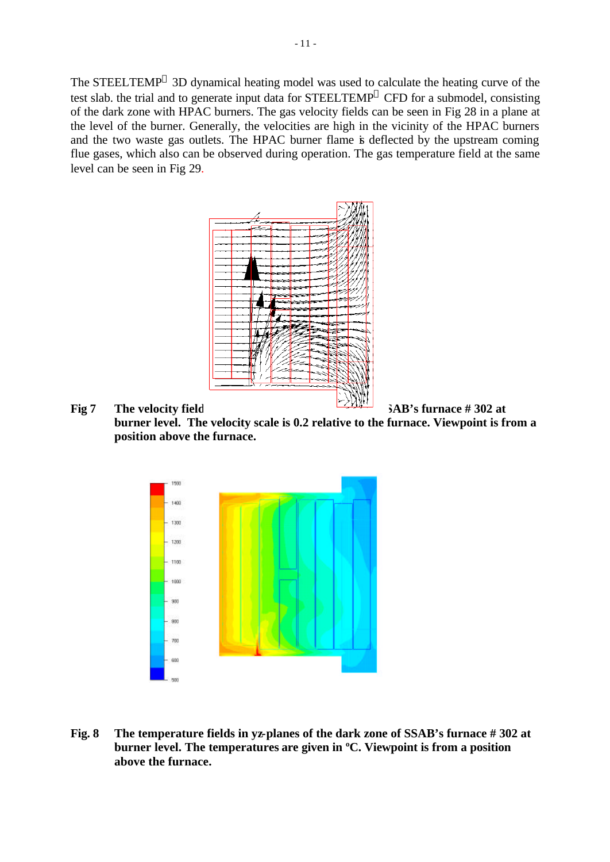The STEELTEMP $^{\circledR}$  3D dynamical heating model was used to calculate the heating curve of the test slab. the trial and to generate input data for STEELTEMP<sup>®</sup> CFD for a submodel, consisting of the dark zone with HPAC burners. The gas velocity fields can be seen in Fig 28 in a plane at the level of the burner. Generally, the velocities are high in the vicinity of the HPAC burners and the two waste gas outlets. The HPAC burner flame is deflected by the upstream coming flue gases, which also can be observed during operation. The gas temperature field at the same level can be seen in Fig 29.



#### **Fig 7 The velocity field in the data in the data in SAB's furnace # 302 at burner level. The velocity scale is 0.2 relative to the furnace. Viewpoint is from a position above the furnace.**



**Fig. 8 The temperature fields in yz-planes of the dark zone of SSAB's furnace # 302 at burner level. The temperatures are given in ºC. Viewpoint is from a position above the furnace.**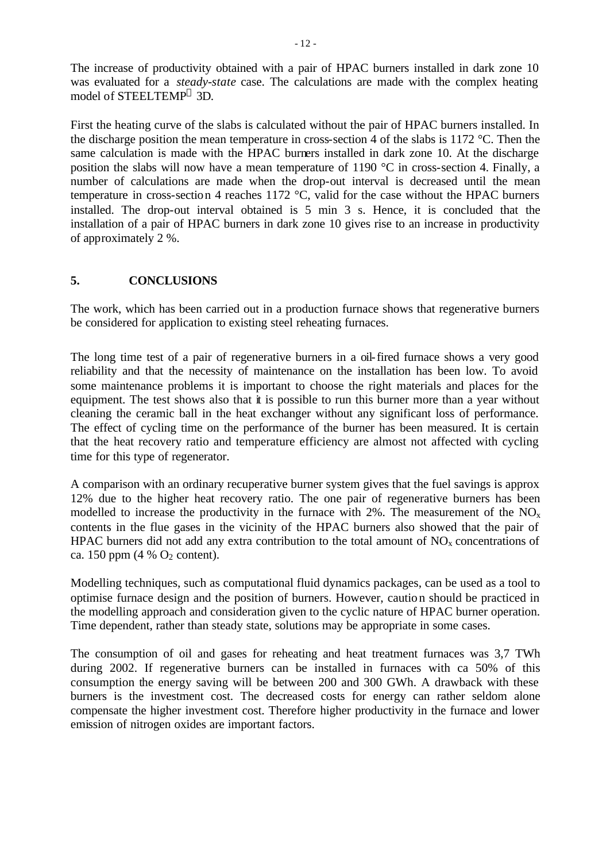The increase of productivity obtained with a pair of HPAC burners installed in dark zone 10 was evaluated for a *steady-state* case. The calculations are made with the complex heating model of STEELTEMP 3D.

First the heating curve of the slabs is calculated without the pair of HPAC burners installed. In the discharge position the mean temperature in cross-section 4 of the slabs is 1172 °C. Then the same calculation is made with the HPAC burners installed in dark zone 10. At the discharge position the slabs will now have a mean temperature of 1190 °C in cross-section 4. Finally, a number of calculations are made when the drop-out interval is decreased until the mean temperature in cross-section 4 reaches 1172 °C, valid for the case without the HPAC burners installed. The drop-out interval obtained is 5 min 3 s. Hence, it is concluded that the installation of a pair of HPAC burners in dark zone 10 gives rise to an increase in productivity of approximately 2 %.

#### **5. CONCLUSIONS**

The work, which has been carried out in a production furnace shows that regenerative burners be considered for application to existing steel reheating furnaces.

The long time test of a pair of regenerative burners in a oil-fired furnace shows a very good reliability and that the necessity of maintenance on the installation has been low. To avoid some maintenance problems it is important to choose the right materials and places for the equipment. The test shows also that it is possible to run this burner more than a year without cleaning the ceramic ball in the heat exchanger without any significant loss of performance. The effect of cycling time on the performance of the burner has been measured. It is certain that the heat recovery ratio and temperature efficiency are almost not affected with cycling time for this type of regenerator.

A comparison with an ordinary recuperative burner system gives that the fuel savings is approx 12% due to the higher heat recovery ratio. The one pair of regenerative burners has been modelled to increase the productivity in the furnace with 2%. The measurement of the  $NO<sub>x</sub>$ contents in the flue gases in the vicinity of the HPAC burners also showed that the pair of HPAC burners did not add any extra contribution to the total amount of  $NO<sub>x</sub>$  concentrations of ca. 150 ppm (4  $%$  O<sub>2</sub> content).

Modelling techniques, such as computational fluid dynamics packages, can be used as a tool to optimise furnace design and the position of burners. However, caution should be practiced in the modelling approach and consideration given to the cyclic nature of HPAC burner operation. Time dependent, rather than steady state, solutions may be appropriate in some cases.

The consumption of oil and gases for reheating and heat treatment furnaces was 3,7 TWh during 2002. If regenerative burners can be installed in furnaces with ca 50% of this consumption the energy saving will be between 200 and 300 GWh. A drawback with these burners is the investment cost. The decreased costs for energy can rather seldom alone compensate the higher investment cost. Therefore higher productivity in the furnace and lower emission of nitrogen oxides are important factors.